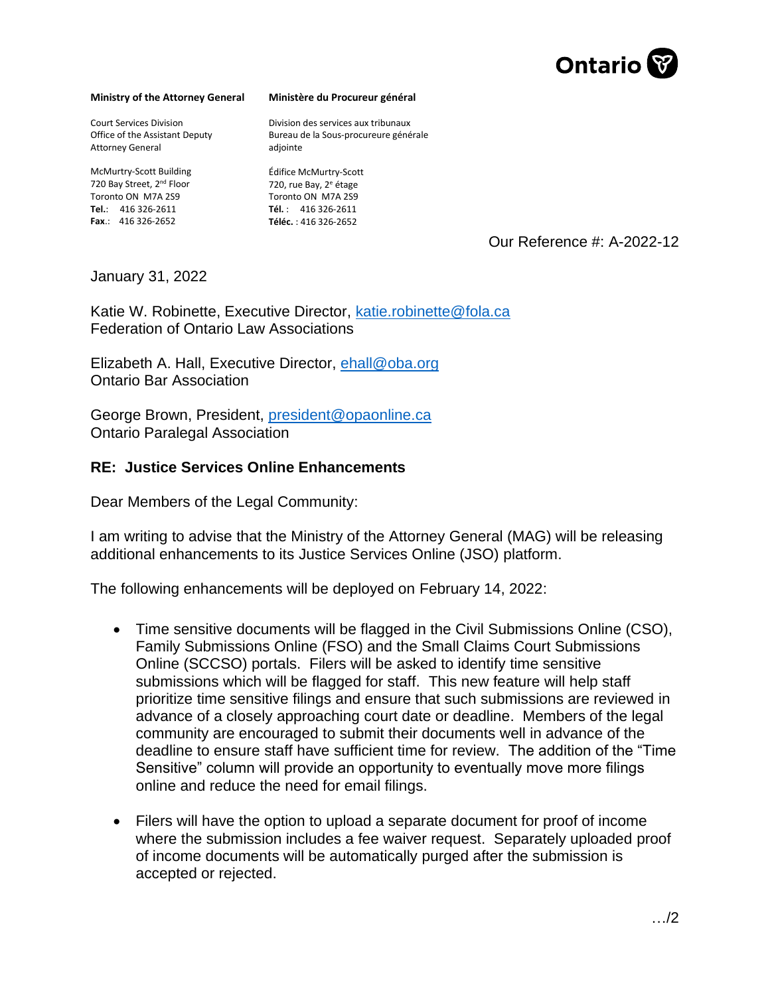

## **Ministry of the Attorney General**

Court Services Division Office of the Assistant Deputy Attorney General

McMurtry-Scott Building 720 Bay Street, 2<sup>nd</sup> Floor Toronto ON M7A 2S9 **Tel.**: 416 326-2611 **Fax**.: 416 326-2652

## **Ministère du Procureur général**

Division des services aux tribunaux Bureau de la Sous-procureure générale adiointe

Édifice McMurtry-Scott 720, rue Bay, 2<sup>e</sup> étage Toronto ON M7A 2S9 **Tél.** : 416 326-2611 **Téléc.** : 416 326-2652

Our Reference #: A-2022-12

January 31, 2022

Katie W. Robinette, Executive Director, [katie.robinette@fola.ca](mailto:katie.robinette@fola.ca) Federation of Ontario Law Associations

Elizabeth A. Hall, Executive Director, [ehall@oba.org](mailto:ehall@oba.org) Ontario Bar Association

George Brown, President, [president@opaonline.ca](mailto:president@opaonline.ca) Ontario Paralegal Association

## **RE: Justice Services Online Enhancements**

Dear Members of the Legal Community:

I am writing to advise that the Ministry of the Attorney General (MAG) will be releasing additional enhancements to its Justice Services Online (JSO) platform.

The following enhancements will be deployed on February 14, 2022:

- Time sensitive documents will be flagged in the Civil Submissions Online (CSO), Family Submissions Online (FSO) and the Small Claims Court Submissions Online (SCCSO) portals. Filers will be asked to identify time sensitive submissions which will be flagged for staff. This new feature will help staff prioritize time sensitive filings and ensure that such submissions are reviewed in advance of a closely approaching court date or deadline. Members of the legal community are encouraged to submit their documents well in advance of the deadline to ensure staff have sufficient time for review. The addition of the "Time Sensitive" column will provide an opportunity to eventually move more filings online and reduce the need for email filings.
- Filers will have the option to upload a separate document for proof of income where the submission includes a fee waiver request. Separately uploaded proof of income documents will be automatically purged after the submission is accepted or rejected.